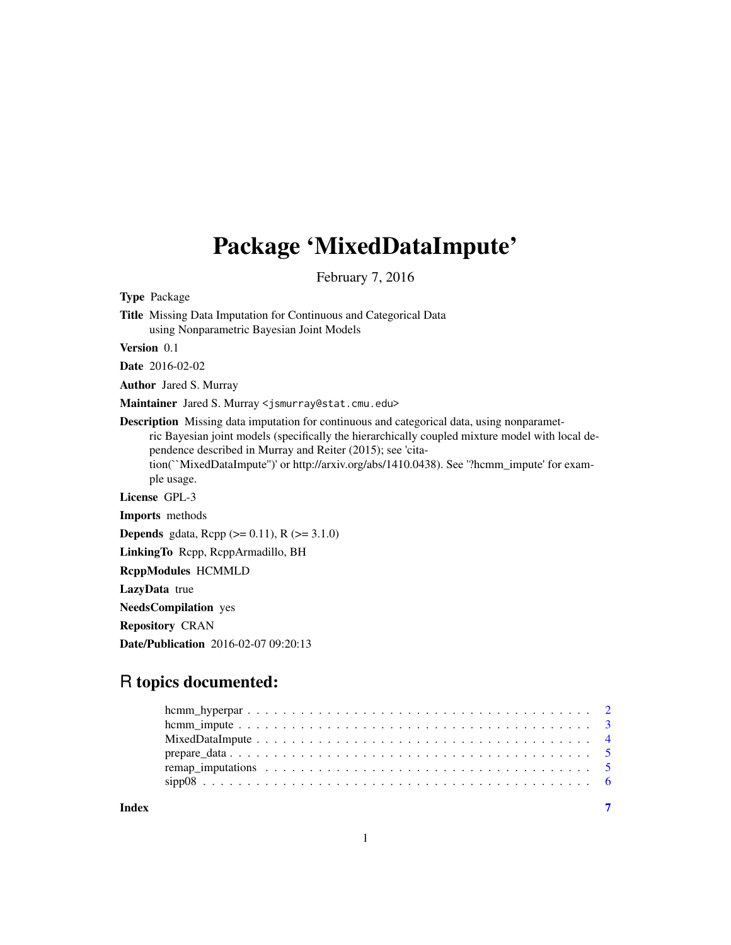## Package 'MixedDataImpute'

February 7, 2016

Type Package

Title Missing Data Imputation for Continuous and Categorical Data using Nonparametric Bayesian Joint Models

Version 0.1

Date 2016-02-02

Author Jared S. Murray

Maintainer Jared S. Murray <jsmurray@stat.cmu.edu>

Description Missing data imputation for continuous and categorical data, using nonparametric Bayesian joint models (specifically the hierarchically coupled mixture model with local dependence described in Murray and Reiter (2015); see 'citation(``MixedDataImpute'')' or http://arxiv.org/abs/1410.0438). See '?hcmm\_impute' for example usage. License GPL-3

Imports methods

**Depends** gdata, Rcpp  $(>= 0.11)$ , R  $(>= 3.1.0)$ 

LinkingTo Rcpp, RcppArmadillo, BH

RcppModules HCMMLD

LazyData true

NeedsCompilation yes

Repository CRAN

Date/Publication 2016-02-07 09:20:13

### R topics documented:

**Index** [7](#page-6-0) **7**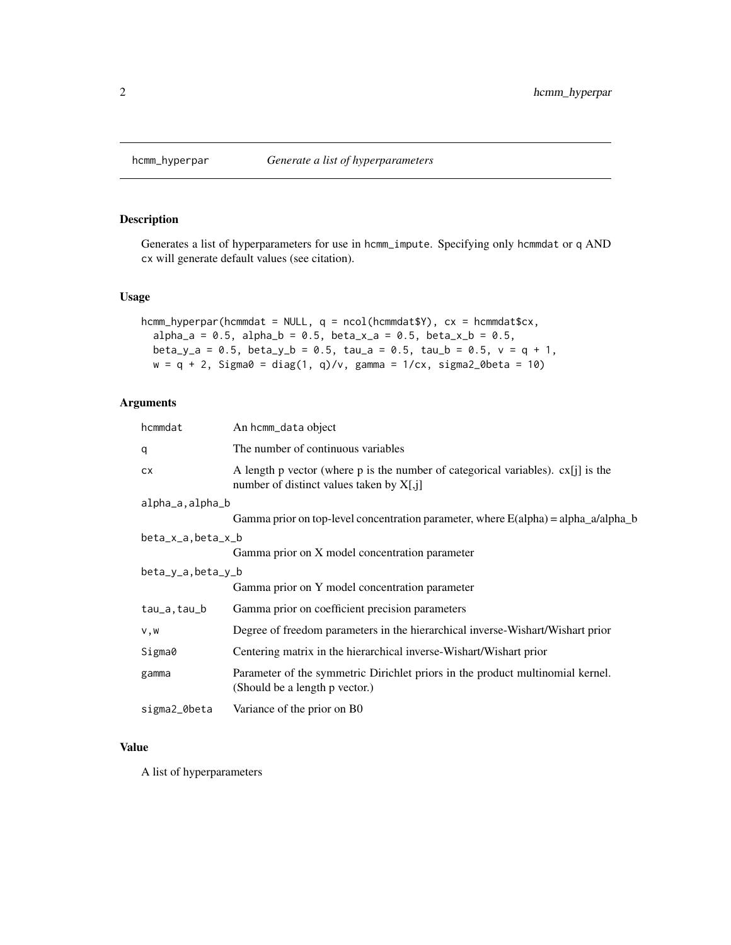<span id="page-1-0"></span>

#### Description

Generates a list of hyperparameters for use in hcmm\_impute. Specifying only hcmmdat or q AND cx will generate default values (see citation).

#### Usage

```
hcmm_hyperpar(hcmmdat = NULL, q = ncol(hcmmdat$Y), cx = hemmdat$c x,
  alpha_a = 0.5, alpha_b = 0.5, beta_x = 0.5, beta_x = 0.5, beta_x = 0.5,
 beta_y_a = 0.5, beta_y_b = 0.5, tau_a = 0.5, tau_b = 0.5, v = q + 1,
 w = q + 2, Sigma0 = diag(1, q)/v, gamma = 1/cx, sigma2_0beta = 10)
```
#### Arguments

| hcmmdat           | An hcmm_data object                                                                                                                       |
|-------------------|-------------------------------------------------------------------------------------------------------------------------------------------|
| q                 | The number of continuous variables                                                                                                        |
| <b>CX</b>         | A length p vector (where p is the number of categorical variables). $c\mathbf{x}[i]$ is the<br>number of distinct values taken by $X[,i]$ |
| alpha_a,alpha_b   |                                                                                                                                           |
|                   | Gamma prior on top-level concentration parameter, where $E(\alpha pha) = \alpha/2d$ and $\alpha$                                          |
| beta_x_a,beta_x_b |                                                                                                                                           |
|                   | Gamma prior on X model concentration parameter                                                                                            |
| beta_y_a,beta_y_b |                                                                                                                                           |
|                   | Gamma prior on Y model concentration parameter                                                                                            |
| tau_a, tau_b      | Gamma prior on coefficient precision parameters                                                                                           |
| v, w              | Degree of freedom parameters in the hierarchical inverse-Wishart/Wishart prior                                                            |
| Sigma0            | Centering matrix in the hierarchical inverse-Wishart/Wishart prior                                                                        |
| gamma             | Parameter of the symmetric Dirichlet priors in the product multinomial kernel.<br>(Should be a length p vector.)                          |
| sigma2_0beta      | Variance of the prior on B0                                                                                                               |
|                   |                                                                                                                                           |

#### Value

A list of hyperparameters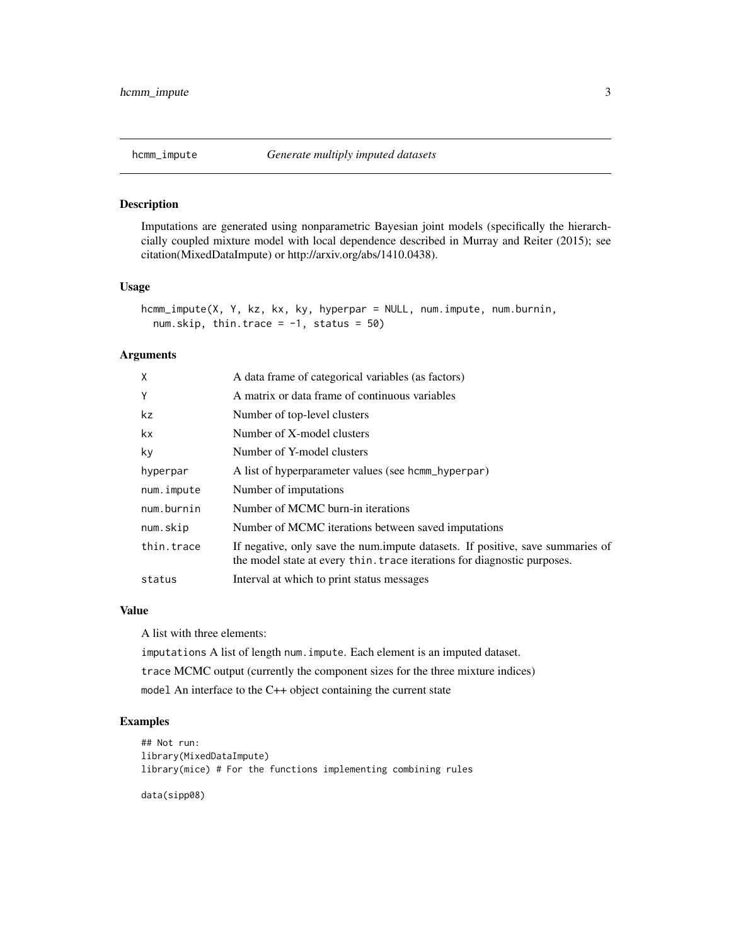#### <span id="page-2-0"></span>Description

Imputations are generated using nonparametric Bayesian joint models (specifically the hierarchcially coupled mixture model with local dependence described in Murray and Reiter (2015); see citation(MixedDataImpute) or http://arxiv.org/abs/1410.0438).

#### Usage

```
hcmm_impute(X, Y, kz, kx, ky, hyperpar = NULL, num.impute, num.burnin,
 num.skip, thin.trace = -1, status = 50)
```
#### Arguments

| $\mathsf{x}$ | A data frame of categorical variables (as factors)                                                                                                         |
|--------------|------------------------------------------------------------------------------------------------------------------------------------------------------------|
| Y            | A matrix or data frame of continuous variables                                                                                                             |
| kz           | Number of top-level clusters                                                                                                                               |
| kx.          | Number of X-model clusters                                                                                                                                 |
| ky           | Number of Y-model clusters                                                                                                                                 |
| hyperpar     | A list of hyperparameter values (see homm_hyperpar)                                                                                                        |
| num.impute   | Number of imputations                                                                                                                                      |
| num.burnin   | Number of MCMC burn-in iterations                                                                                                                          |
| num.skip     | Number of MCMC iterations between saved imputations                                                                                                        |
| thin.trace   | If negative, only save the num.impute datasets. If positive, save summaries of<br>the model state at every thin, trace iterations for diagnostic purposes. |
| status       | Interval at which to print status messages                                                                                                                 |

#### Value

A list with three elements:

imputations A list of length num.impute. Each element is an imputed dataset. trace MCMC output (currently the component sizes for the three mixture indices) model An interface to the C++ object containing the current state

#### Examples

```
## Not run:
library(MixedDataImpute)
library(mice) # For the functions implementing combining rules
```
data(sipp08)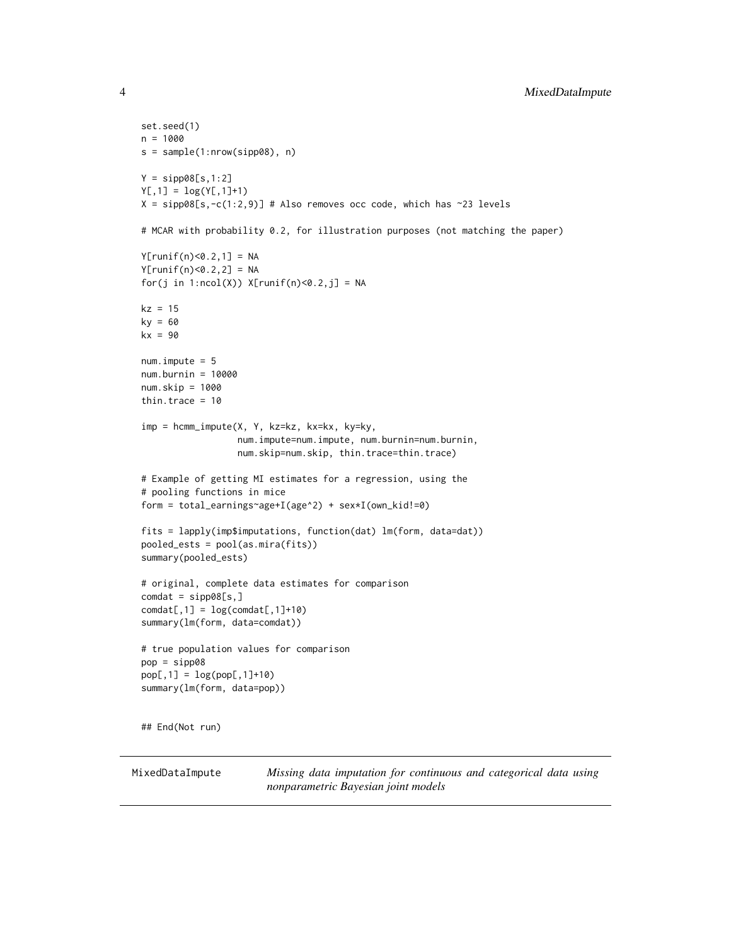```
set.seed(1)
n = 1000
s = sample(1:nrow(sipp08), n)
Y = sipp08[s,1:2]
Y[, 1] = log(Y[, 1]+1)X = sipp08[s,-c(1:2,9)] # Also removes occ code, which has ~23 levels
# MCAR with probability 0.2, for illustration purposes (not matching the paper)
Y[runif(n) < 0.2, 1] = NAY[runif(n)<0.2,2] = NAfor(j in 1:ncol(X)) X[runif(n)<0.2,j] = NA
kz = 15ky = 60kx = 90num.impute = 5
num.burnin = 10000
num.skip = 1000
thin.trace = 10imp = hcmm_impute(X, Y, kz=kz, kx=kx, ky=ky,
                  num.impute=num.impute, num.burnin=num.burnin,
                  num.skip=num.skip, thin.trace=thin.trace)
# Example of getting MI estimates for a regression, using the
# pooling functions in mice
form = total_earnings~age+I(age^2) + sex*I(own_kid!=0)
fits = lapply(imp$imputations, function(dat) lm(form, data=dat))
pooled_ests = pool(as.mira(fits))
summary(pooled_ests)
# original, complete data estimates for comparison
comdat = sipp08[s,]
condat[, 1] = log(condat[, 1]+10)summary(lm(form, data=comdat))
# true population values for comparison
pop = sipp08
pop[, 1] = log(pop[, 1]+10)summary(lm(form, data=pop))
## End(Not run)
```
MixedDataImpute *Missing data imputation for continuous and categorical data using nonparametric Bayesian joint models*

<span id="page-3-0"></span>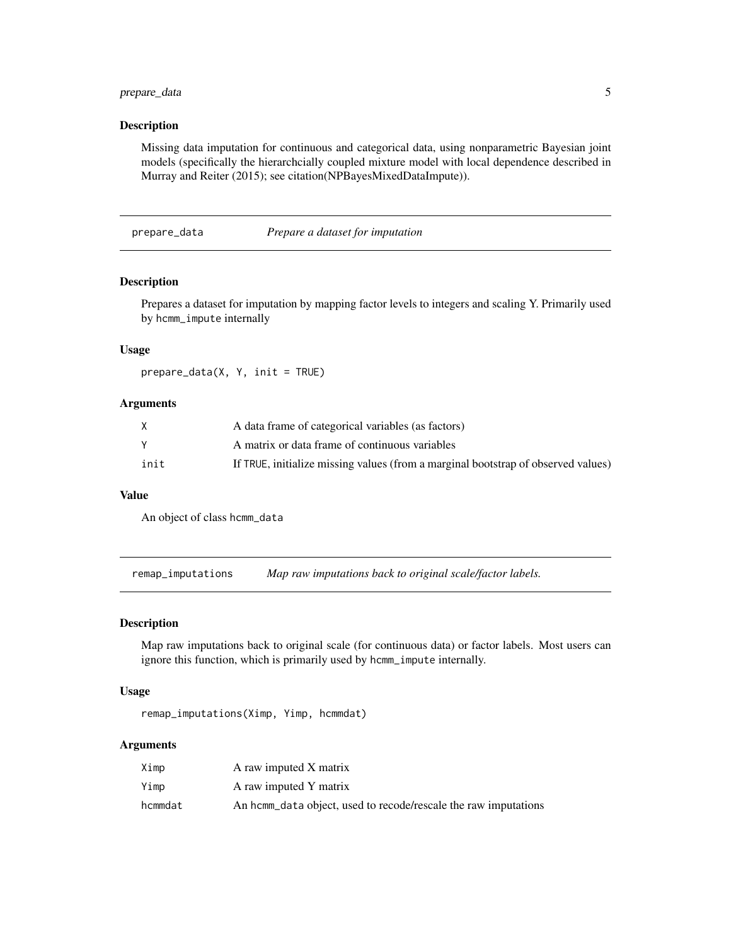#### <span id="page-4-0"></span>prepare\_data 5

#### Description

Missing data imputation for continuous and categorical data, using nonparametric Bayesian joint models (specifically the hierarchcially coupled mixture model with local dependence described in Murray and Reiter (2015); see citation(NPBayesMixedDataImpute)).

#### prepare\_data *Prepare a dataset for imputation*

#### Description

Prepares a dataset for imputation by mapping factor levels to integers and scaling Y. Primarily used by hcmm\_impute internally

#### Usage

prepare\_data(X, Y, init = TRUE)

#### Arguments

| X    | A data frame of categorical variables (as factors)                                |
|------|-----------------------------------------------------------------------------------|
|      | A matrix or data frame of continuous variables                                    |
| init | If TRUE, initialize missing values (from a marginal bootstrap of observed values) |

#### Value

An object of class hcmm\_data

remap\_imputations *Map raw imputations back to original scale/factor labels.*

#### Description

Map raw imputations back to original scale (for continuous data) or factor labels. Most users can ignore this function, which is primarily used by hcmm\_impute internally.

#### Usage

remap\_imputations(Ximp, Yimp, hcmmdat)

#### Arguments

| Ximp    | A raw imputed X matrix                                          |
|---------|-----------------------------------------------------------------|
| Yimp    | A raw imputed Y matrix                                          |
| hcmmdat | An homm data object, used to recode/rescale the raw imputations |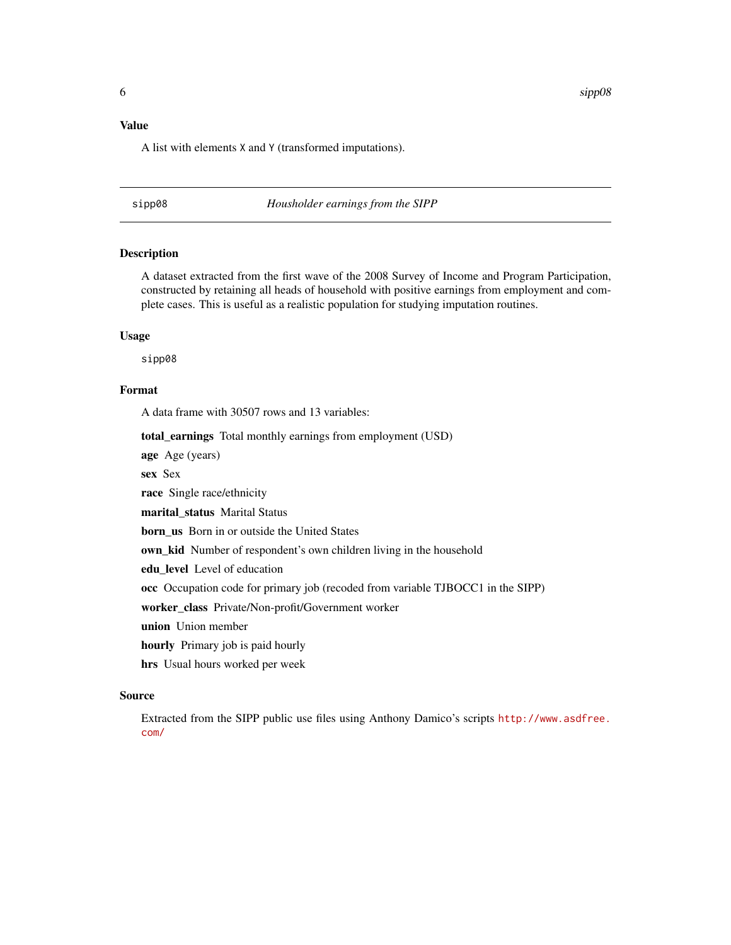#### <span id="page-5-0"></span>Value

A list with elements X and Y (transformed imputations).

sipp08 *Housholder earnings from the SIPP*

#### Description

A dataset extracted from the first wave of the 2008 Survey of Income and Program Participation, constructed by retaining all heads of household with positive earnings from employment and complete cases. This is useful as a realistic population for studying imputation routines.

#### Usage

sipp08

#### Format

A data frame with 30507 rows and 13 variables:

total\_earnings Total monthly earnings from employment (USD)

age Age (years)

sex Sex

race Single race/ethnicity

marital\_status Marital Status

born\_us Born in or outside the United States

own\_kid Number of respondent's own children living in the household

edu\_level Level of education

occ Occupation code for primary job (recoded from variable TJBOCC1 in the SIPP)

worker\_class Private/Non-profit/Government worker

union Union member

hourly Primary job is paid hourly

hrs Usual hours worked per week

#### Source

Extracted from the SIPP public use files using Anthony Damico's scripts [http://www.asdfree.](http://www.asdfree.com/) [com/](http://www.asdfree.com/)